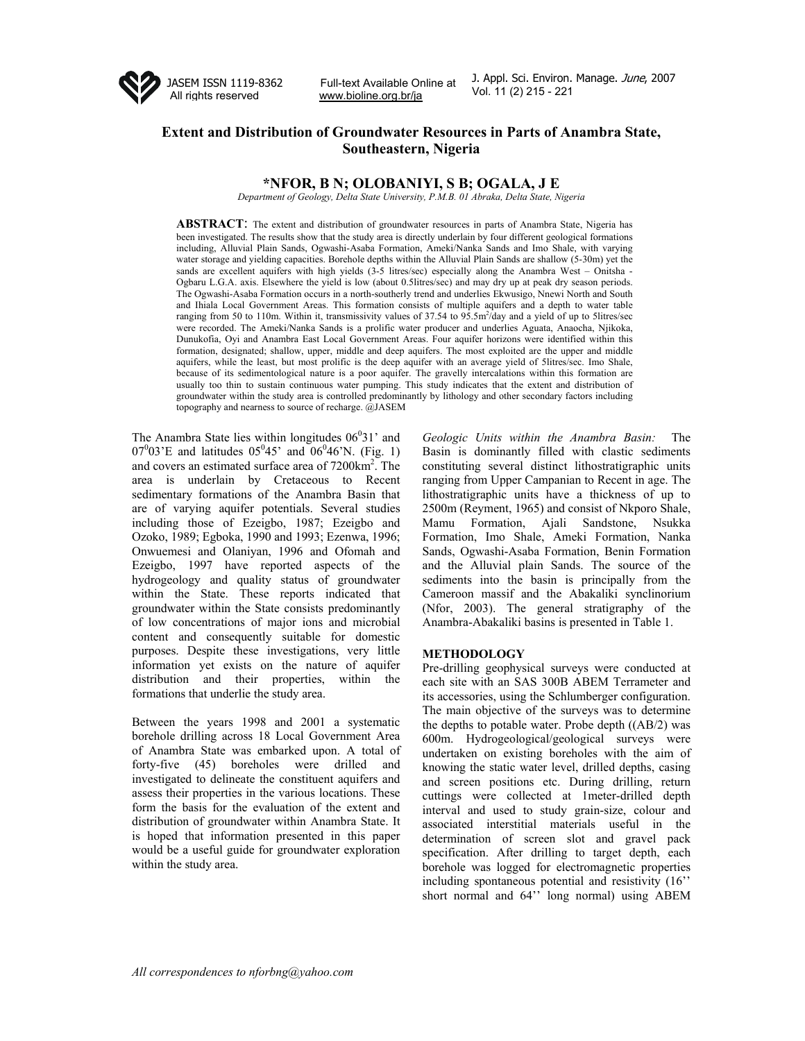

Full-text Available Online at J. Appl. Scl. Environ.<br>Vol. 11 (2) 215 - 221 www.bioline.org.br/ja

J. Appl. Sci. Environ. Manage. June, 2007

# **Extent and Distribution of Groundwater Resources in Parts of Anambra State, Southeastern, Nigeria**

## **\*NFOR, B N; OLOBANIYI, S B; OGALA, J E**

*Department of Geology, Delta State University, P.M.B. 01 Abraka, Delta State, Nigeria* 

**ABSTRACT**: The extent and distribution of groundwater resources in parts of Anambra State, Nigeria has been investigated. The results show that the study area is directly underlain by four different geological formations including, Alluvial Plain Sands, Ogwashi-Asaba Formation, Ameki/Nanka Sands and Imo Shale, with varying water storage and yielding capacities. Borehole depths within the Alluvial Plain Sands are shallow (5-30m) yet the sands are excellent aquifers with high yields (3-5 litres/sec) especially along the Anambra West – Onitsha -Ogbaru L.G.A. axis. Elsewhere the yield is low (about 0.5litres/sec) and may dry up at peak dry season periods. The Ogwashi-Asaba Formation occurs in a north-southerly trend and underlies Ekwusigo, Nnewi North and South and Ihiala Local Government Areas. This formation consists of multiple aquifers and a depth to water table ranging from 50 to 110m. Within it, transmissivity values of  $37.54$  to  $95.5$ m<sup>2</sup>/day and a yield of up to 5litres/sec were recorded. The Ameki/Nanka Sands is a prolific water producer and underlies Aguata, Anaocha, Njikoka, Dunukofia, Oyi and Anambra East Local Government Areas. Four aquifer horizons were identified within this formation, designated; shallow, upper, middle and deep aquifers. The most exploited are the upper and middle aquifers, while the least, but most prolific is the deep aquifer with an average yield of 5litres/sec. Imo Shale, because of its sedimentological nature is a poor aquifer. The gravelly intercalations within this formation are usually too thin to sustain continuous water pumping. This study indicates that the extent and distribution of groundwater within the study area is controlled predominantly by lithology and other secondary factors including topography and nearness to source of recharge. @JASEM

The Anambra State lies within longitudes  $06<sup>0</sup>31'$  and  $07^{0}03$ 'E and latitudes  $05^{0}45$ ' and  $06^{0}46$ 'N. (Fig. 1) and covers an estimated surface area of 7200km2 . The area is underlain by Cretaceous to Recent sedimentary formations of the Anambra Basin that are of varying aquifer potentials. Several studies including those of Ezeigbo, 1987; Ezeigbo and Ozoko, 1989; Egboka, 1990 and 1993; Ezenwa, 1996; Onwuemesi and Olaniyan, 1996 and Ofomah and Ezeigbo, 1997 have reported aspects of the hydrogeology and quality status of groundwater within the State. These reports indicated that groundwater within the State consists predominantly of low concentrations of major ions and microbial content and consequently suitable for domestic purposes. Despite these investigations, very little information yet exists on the nature of aquifer distribution and their properties, within the formations that underlie the study area.

Between the years 1998 and 2001 a systematic borehole drilling across 18 Local Government Area of Anambra State was embarked upon. A total of forty-five (45) boreholes were drilled and investigated to delineate the constituent aquifers and assess their properties in the various locations. These form the basis for the evaluation of the extent and distribution of groundwater within Anambra State. It is hoped that information presented in this paper would be a useful guide for groundwater exploration within the study area.

*Geologic Units within the Anambra Basin:* The Basin is dominantly filled with clastic sediments constituting several distinct lithostratigraphic units ranging from Upper Campanian to Recent in age. The lithostratigraphic units have a thickness of up to 2500m (Reyment, 1965) and consist of Nkporo Shale, Mamu Formation, Ajali Sandstone, Nsukka Formation, Imo Shale, Ameki Formation, Nanka Sands, Ogwashi-Asaba Formation, Benin Formation and the Alluvial plain Sands. The source of the sediments into the basin is principally from the Cameroon massif and the Abakaliki synclinorium (Nfor, 2003). The general stratigraphy of the Anambra-Abakaliki basins is presented in Table 1.

#### **METHODOLOGY**

Pre-drilling geophysical surveys were conducted at each site with an SAS 300B ABEM Terrameter and its accessories, using the Schlumberger configuration. The main objective of the surveys was to determine the depths to potable water. Probe depth ((AB/2) was 600m. Hydrogeological/geological surveys were undertaken on existing boreholes with the aim of knowing the static water level, drilled depths, casing and screen positions etc. During drilling, return cuttings were collected at 1meter-drilled depth interval and used to study grain-size, colour and associated interstitial materials useful in the determination of screen slot and gravel pack specification. After drilling to target depth, each borehole was logged for electromagnetic properties including spontaneous potential and resistivity (16'' short normal and 64'' long normal) using ABEM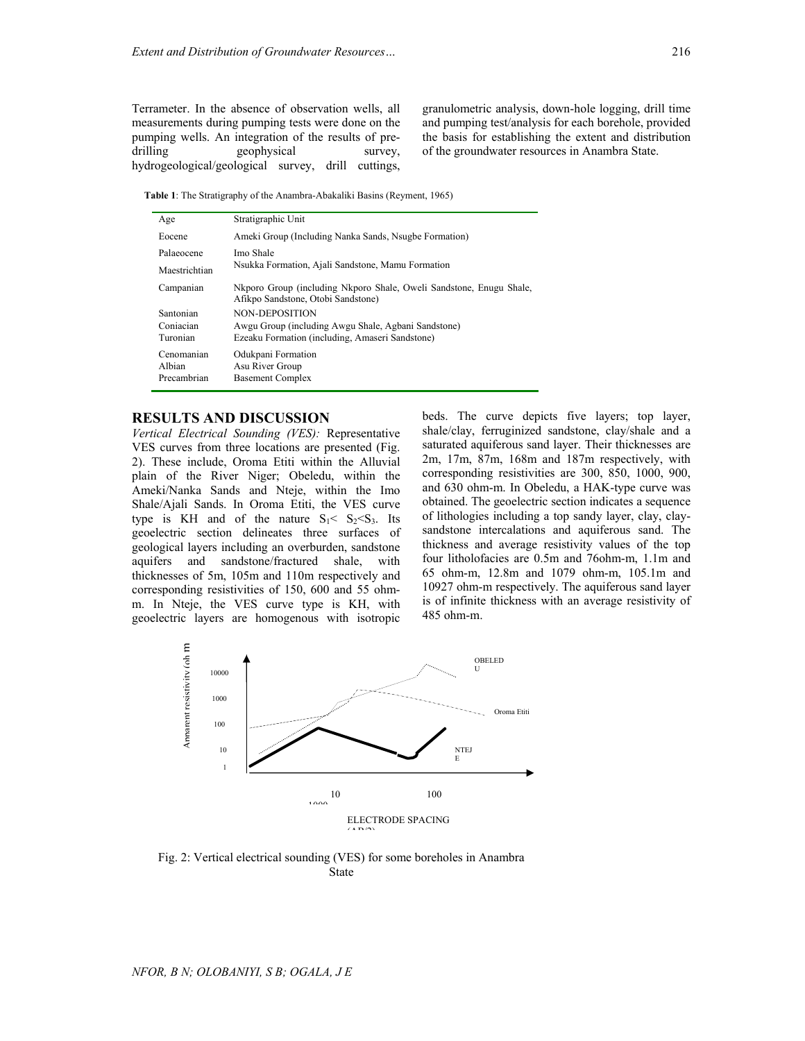Terrameter. In the absence of observation wells, all measurements during pumping tests were done on the pumping wells. An integration of the results of predrilling geophysical survey, hydrogeological/geological survey, drill cuttings,

granulometric analysis, down-hole logging, drill time and pumping test/analysis for each borehole, provided the basis for establishing the extent and distribution of the groundwater resources in Anambra State.

 **Table 1**: The Stratigraphy of the Anambra-Abakaliki Basins (Reyment, 1965)

| Age                                 | Stratigraphic Unit                                                                                        |  |  |  |
|-------------------------------------|-----------------------------------------------------------------------------------------------------------|--|--|--|
| Eocene                              | Ameki Group (Including Nanka Sands, Nsugbe Formation)                                                     |  |  |  |
| Palaeocene                          | Imo Shale                                                                                                 |  |  |  |
| Maestrichtian                       | Nsukka Formation, Ajali Sandstone, Mamu Formation                                                         |  |  |  |
| Campanian                           | Nkporo Group (including Nkporo Shale, Oweli Sandstone, Enugu Shale,<br>Afikpo Sandstone, Otobi Sandstone) |  |  |  |
| Santonian                           | <b>NON-DEPOSITION</b>                                                                                     |  |  |  |
| Conjacian                           | Awgu Group (including Awgu Shale, Agbani Sandstone)                                                       |  |  |  |
| Turonian                            | Ezeaku Formation (including, Amaseri Sandstone)                                                           |  |  |  |
| Cenomanian<br>Albian<br>Precambrian | Odukpani Formation<br>Asu River Group<br><b>Basement Complex</b>                                          |  |  |  |

## **RESULTS AND DISCUSSION**

*Vertical Electrical Sounding (VES):* Representative VES curves from three locations are presented (Fig. 2). These include, Oroma Etiti within the Alluvial plain of the River Niger; Obeledu, within the Ameki/Nanka Sands and Nteje, within the Imo Shale/Ajali Sands. In Oroma Etiti, the VES curve type is KH and of the nature  $S_1 < S_2 < S_3$ . Its geoelectric section delineates three surfaces of geological layers including an overburden, sandstone aquifers and sandstone/fractured shale, with thicknesses of 5m, 105m and 110m respectively and corresponding resistivities of 150, 600 and 55 ohmm. In Nteje, the VES curve type is KH, with geoelectric layers are homogenous with isotropic

beds. The curve depicts five layers; top layer, shale/clay, ferruginized sandstone, clay/shale and a saturated aquiferous sand layer. Their thicknesses are 2m, 17m, 87m, 168m and 187m respectively, with corresponding resistivities are 300, 850, 1000, 900, and 630 ohm-m. In Obeledu, a HAK-type curve was obtained. The geoelectric section indicates a sequence of lithologies including a top sandy layer, clay, claysandstone intercalations and aquiferous sand. The thickness and average resistivity values of the top four litholofacies are 0.5m and 76ohm-m, 1.1m and 65 ohm-m, 12.8m and 1079 ohm-m, 105.1m and 10927 ohm-m respectively. The aquiferous sand layer is of infinite thickness with an average resistivity of 485 ohm-m.



Fig. 2: Vertical electrical sounding (VES) for some boreholes in Anambra State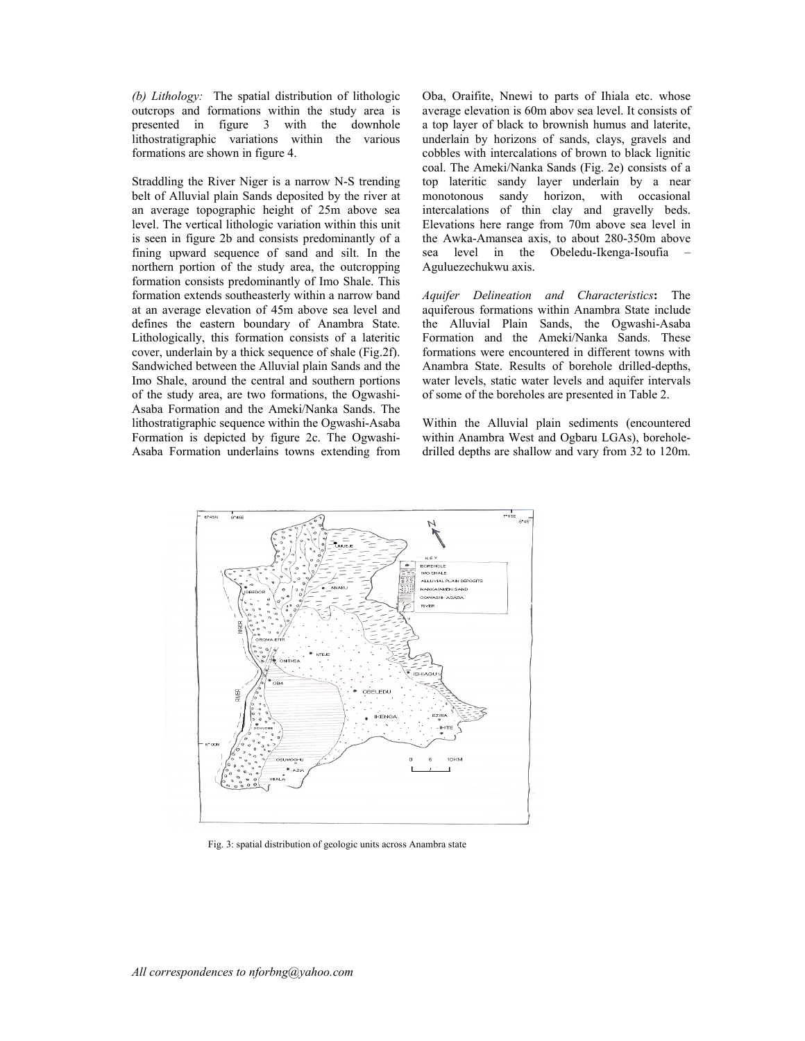*(b) Lithology:*The spatial distribution of lithologic outcrops and formations within the study area is presented in figure 3 with the downhole lithostratigraphic variations within the various formations are shown in figure 4.

Straddling the River Niger is a narrow N-S trending belt of Alluvial plain Sands deposited by the river at an average topographic height of 25m above sea level. The vertical lithologic variation within this unit is seen in figure 2b and consists predominantly of a fining upward sequence of sand and silt. In the northern portion of the study area, the outcropping formation consists predominantly of Imo Shale. This formation extends southeasterly within a narrow band at an average elevation of 45m above sea level and defines the eastern boundary of Anambra State. Lithologically, this formation consists of a lateritic cover, underlain by a thick sequence of shale (Fig.2f). Sandwiched between the Alluvial plain Sands and the Imo Shale, around the central and southern portions of the study area, are two formations, the Ogwashi-Asaba Formation and the Ameki/Nanka Sands. The lithostratigraphic sequence within the Ogwashi-Asaba Formation is depicted by figure 2c. The Ogwashi-Asaba Formation underlains towns extending from

Oba, Oraifite, Nnewi to parts of Ihiala etc. whose average elevation is 60m abov sea level. It consists of a top layer of black to brownish humus and laterite, underlain by horizons of sands, clays, gravels and cobbles with intercalations of brown to black lignitic coal. The Ameki/Nanka Sands (Fig. 2e) consists of a top lateritic sandy layer underlain by a near monotonous sandy horizon, with occasional intercalations of thin clay and gravelly beds. Elevations here range from 70m above sea level in the Awka-Amansea axis, to about 280-350m above sea level in the Obeledu-Ikenga-Isoufia – Aguluezechukwu axis.

*Aquifer Delineation and Characteristics***:** The aquiferous formations within Anambra State include the Alluvial Plain Sands, the Ogwashi-Asaba Formation and the Ameki/Nanka Sands. These formations were encountered in different towns with Anambra State. Results of borehole drilled-depths, water levels, static water levels and aquifer intervals of some of the boreholes are presented in Table 2.

Within the Alluvial plain sediments (encountered within Anambra West and Ogbaru LGAs), boreholedrilled depths are shallow and vary from 32 to 120m.



Fig. 3: spatial distribution of geologic units across Anambra state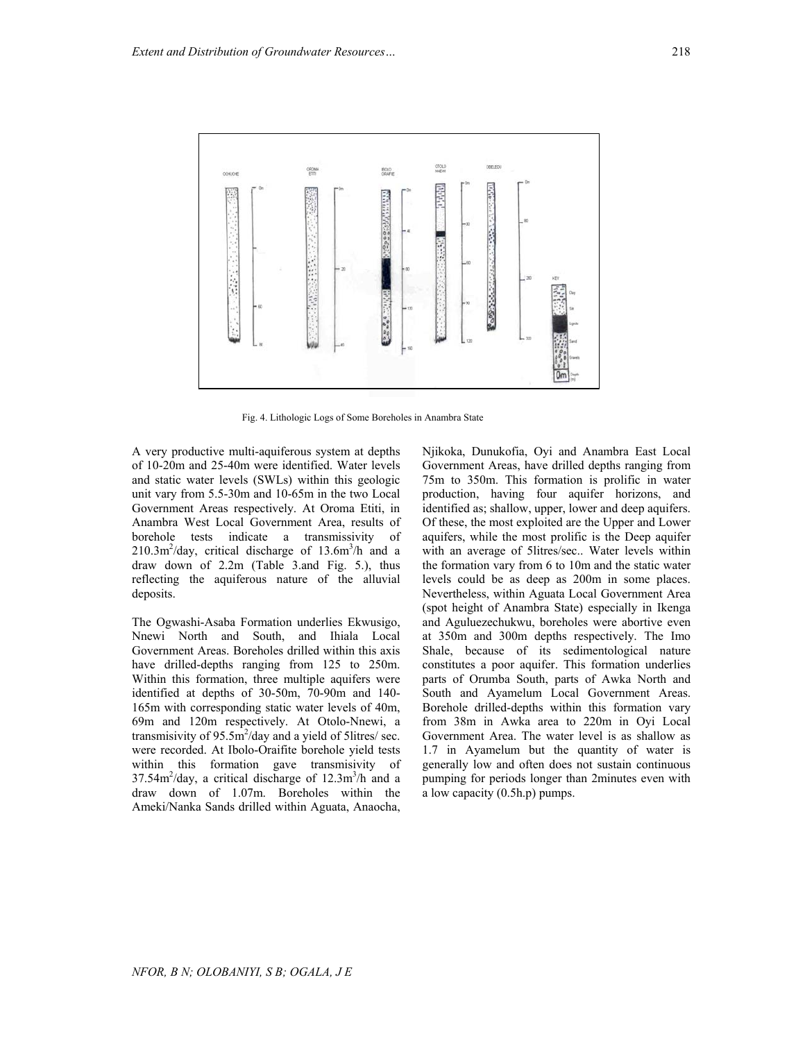

Fig. 4. Lithologic Logs of Some Boreholes in Anambra State

A very productive multi-aquiferous system at depths of 10-20m and 25-40m were identified. Water levels and static water levels (SWLs) within this geologic unit vary from 5.5-30m and 10-65m in the two Local Government Areas respectively. At Oroma Etiti, in Anambra West Local Government Area, results of borehole tests indicate a transmissivity of  $210.3 \text{m}^2/\text{day}$ , critical discharge of  $13.6 \text{m}^3/\text{h}$  and a draw down of 2.2m (Table 3.and Fig. 5.), thus reflecting the aquiferous nature of the alluvial deposits.

The Ogwashi-Asaba Formation underlies Ekwusigo, Nnewi North and South, and Ihiala Local Government Areas. Boreholes drilled within this axis have drilled-depths ranging from 125 to 250m. Within this formation, three multiple aquifers were identified at depths of 30-50m, 70-90m and 140- 165m with corresponding static water levels of 40m, 69m and 120m respectively. At Otolo-Nnewi, a transmisivity of  $95.5 \text{m}^2/\text{day}$  and a yield of 5litres/ sec. were recorded. At Ibolo-Oraifite borehole yield tests within this formation gave transmisivity of  $37.54m^2$ /day, a critical discharge of  $12.3m^3/h$  and a draw down of 1.07m. Boreholes within the Ameki/Nanka Sands drilled within Aguata, Anaocha,

Njikoka, Dunukofia, Oyi and Anambra East Local Government Areas, have drilled depths ranging from 75m to 350m. This formation is prolific in water production, having four aquifer horizons, and identified as; shallow, upper, lower and deep aquifers. Of these, the most exploited are the Upper and Lower aquifers, while the most prolific is the Deep aquifer with an average of 5litres/sec.. Water levels within the formation vary from 6 to 10m and the static water levels could be as deep as 200m in some places. Nevertheless, within Aguata Local Government Area (spot height of Anambra State) especially in Ikenga and Aguluezechukwu, boreholes were abortive even at 350m and 300m depths respectively. The Imo Shale, because of its sedimentological nature constitutes a poor aquifer. This formation underlies parts of Orumba South, parts of Awka North and South and Ayamelum Local Government Areas. Borehole drilled-depths within this formation vary from 38m in Awka area to 220m in Oyi Local Government Area. The water level is as shallow as 1.7 in Ayamelum but the quantity of water is generally low and often does not sustain continuous pumping for periods longer than 2minutes even with a low capacity (0.5h.p) pumps.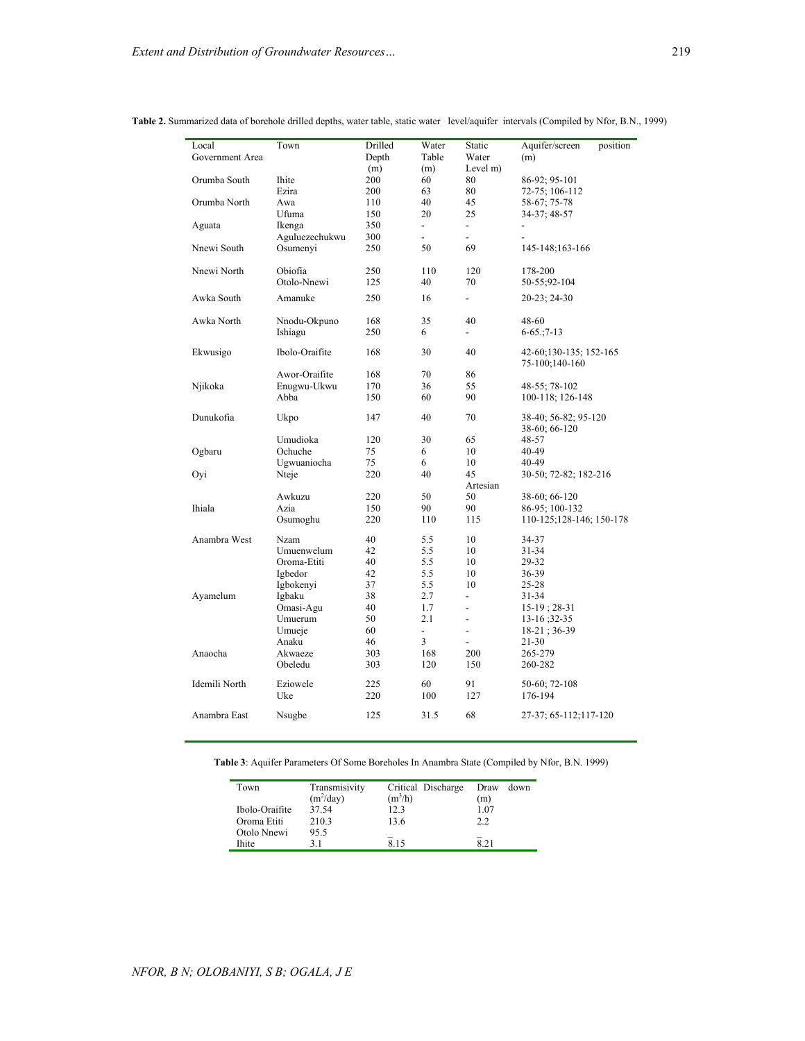| Local           | Town           | Drilled | Water                        | Static                   | Aquifer/screen<br>position |  |
|-----------------|----------------|---------|------------------------------|--------------------------|----------------------------|--|
| Government Area |                | Depth   | Table                        | Water                    | (m)                        |  |
|                 |                | (m)     | (m)                          | Level m)                 |                            |  |
| Orumba South    | Ihite          | 200     | 60                           | 80                       | 86-92; 95-101              |  |
|                 | Ezira          | 200     | 63                           | 80                       | 72-75; 106-112             |  |
| Orumba North    | Awa            | 110     | 40                           | 45                       | 58-67; 75-78               |  |
|                 | Ufuma          | 150     | 20                           | 25                       | 34-37; 48-57               |  |
| Aguata          | Ikenga         | 350     | $\overline{\phantom{0}}$     | $\overline{\phantom{a}}$ |                            |  |
|                 | Aguluezechukwu | 300     | $\overline{a}$               | $\overline{a}$           |                            |  |
| Nnewi South     | Osumenyi       | 250     | 50                           | 69                       | 145-148;163-166            |  |
|                 |                |         |                              |                          |                            |  |
| Nnewi North     | Obiofia        | 250     | 110                          | 120                      | 178-200                    |  |
|                 | Otolo-Nnewi    | 125     | 40                           | 70                       | 50-55;92-104               |  |
| Awka South      | Amanuke        | 250     | 16                           | $\overline{\phantom{0}}$ | $20-23$ ; 24-30            |  |
|                 |                |         |                              |                          |                            |  |
| Awka North      | Nnodu-Okpuno   | 168     | 35                           | 40                       | 48-60                      |  |
|                 | Ishiagu        | 250     | 6                            | $\overline{\phantom{0}}$ | $6-65$ ; 7-13              |  |
| Ekwusigo        | Ibolo-Oraifite | 168     | 30                           | 40                       | 42-60;130-135; 152-165     |  |
|                 |                |         |                              |                          | 75-100;140-160             |  |
|                 | Awor-Oraifite  | 168     | 70                           | 86                       |                            |  |
| Njikoka         | Enugwu-Ukwu    | 170     | 36                           | 55                       | 48-55; 78-102              |  |
|                 | Abba           | 150     | 60                           | 90                       | 100-118; 126-148           |  |
|                 |                |         |                              |                          |                            |  |
| Dunukofia       | Ukpo           | 147     | 40                           | 70                       | 38-40; 56-82; 95-120       |  |
|                 |                |         |                              |                          | 38-60; 66-120              |  |
|                 | Umudioka       | 120     | 30                           | 65                       | 48-57                      |  |
| Ogbaru          | Ochuche        | 75      | 6                            | 10                       | 40-49                      |  |
|                 | Ugwuaniocha    | 75      | 6                            | 10                       | 40-49                      |  |
| Oyi             | Nteje          | 220     | 40                           | 45                       | 30-50; 72-82; 182-216      |  |
|                 |                |         |                              | Artesian                 |                            |  |
|                 | Awkuzu         | 220     | 50                           | 50                       | 38-60; 66-120              |  |
| Ihiala          | Azia           | 150     | 90                           | 90                       | 86-95; 100-132             |  |
|                 | Osumoghu       | 220     | 110                          | 115                      | 110-125;128-146; 150-178   |  |
| Anambra West    | Nzam           | 40      | 5.5                          | 10                       | 34-37                      |  |
|                 | Umuenwelum     | 42      | 5.5                          | 10                       | 31-34                      |  |
|                 | Oroma-Etiti    | 40      | 5.5                          | 10                       | 29-32                      |  |
|                 | Igbedor        | 42      | 5.5                          | 10                       | 36-39                      |  |
|                 | Igbokenyi      | 37      | 5.5                          | 10                       | 25-28                      |  |
| Ayamelum        | Igbaku         | 38      | 2.7                          | $\overline{\phantom{a}}$ | 31-34                      |  |
|                 | Omasi-Agu      | 40      | 1.7                          | $\overline{\phantom{0}}$ | $15-19$ ; 28-31            |  |
|                 | Umuerum        | 50      | 2.1                          | $\overline{a}$           | $13-16; 32-35$             |  |
|                 | Umueje         | 60      | $\qquad \qquad \blacksquare$ | $\overline{\phantom{m}}$ | $18-21$ ; 36-39            |  |
|                 | Anaku          | 46      | 3                            | $\overline{\phantom{0}}$ | 21-30                      |  |
| Anaocha         | Akwaeze        | 303     | 168                          | 200                      | 265-279                    |  |
|                 | Obeledu        | 303     | 120                          | 150                      | 260-282                    |  |
|                 |                |         |                              |                          |                            |  |
| Idemili North   | Eziowele       | 225     | 60                           | 91                       | 50-60; 72-108              |  |
|                 | Uke            | 220     | 100                          | 127                      | 176-194                    |  |
| Anambra East    | Nsugbe         | 125     | 31.5                         | 68                       | 27-37; 65-112; 117-120     |  |
|                 |                |         |                              |                          |                            |  |

#### **Table 2.** Summarized data of borehole drilled depths, water table, static water level/aquifer intervals (Compiled by Nfor, B.N., 1999)

**Table 3**: Aquifer Parameters Of Some Boreholes In Anambra State (Compiled by Nfor, B.N. 1999)

| Town           | Transmisivity | Critical Discharge | Draw<br>down |
|----------------|---------------|--------------------|--------------|
|                | $(m^2/day)$   | $(m^3/h)$          | (m)          |
| Ibolo-Oraifite | 37.54         | 12.3               | 1.07         |
| Oroma Etiti    | 210.3         | 13.6               | 2.2          |
| Otolo Nnewi    | 95.5          |                    |              |
| <b>Ihite</b>   | 31            | 815                | 8.21         |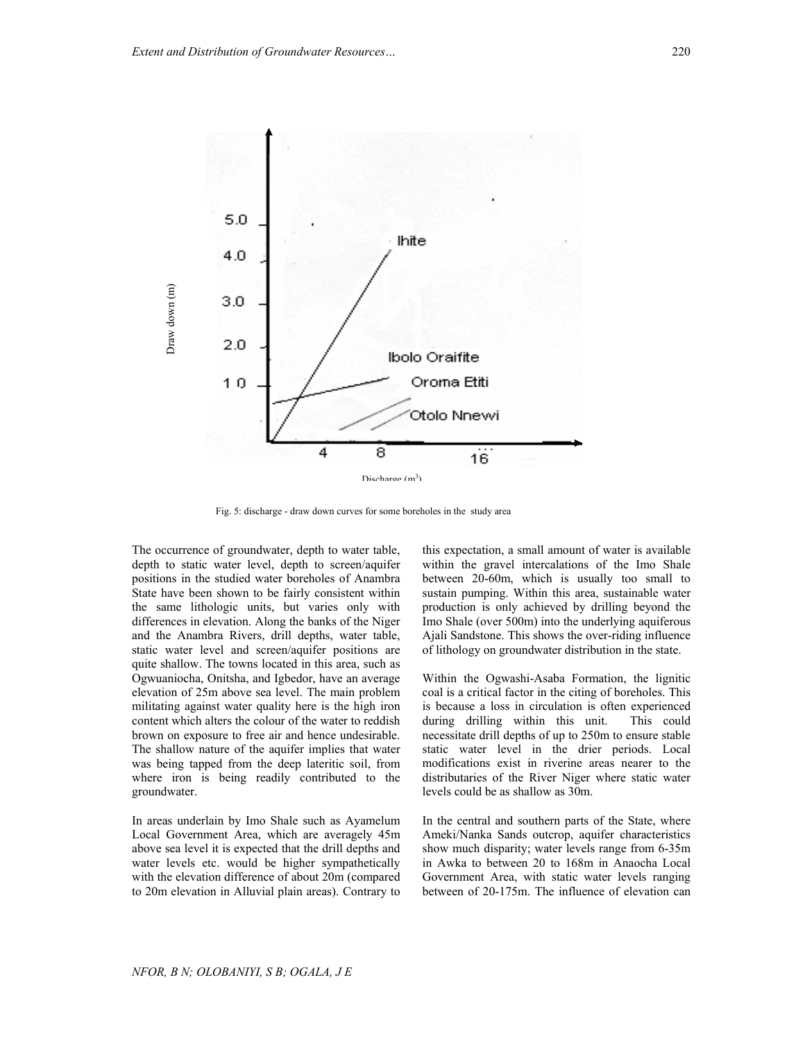

Fig. 5: discharge - draw down curves for some boreholes in the study area

The occurrence of groundwater, depth to water table, depth to static water level, depth to screen/aquifer positions in the studied water boreholes of Anambra State have been shown to be fairly consistent within the same lithologic units, but varies only with differences in elevation. Along the banks of the Niger and the Anambra Rivers, drill depths, water table, static water level and screen/aquifer positions are quite shallow. The towns located in this area, such as Ogwuaniocha, Onitsha, and Igbedor, have an average elevation of 25m above sea level. The main problem militating against water quality here is the high iron content which alters the colour of the water to reddish brown on exposure to free air and hence undesirable. The shallow nature of the aquifer implies that water was being tapped from the deep lateritic soil, from where iron is being readily contributed to the groundwater.

In areas underlain by Imo Shale such as Ayamelum Local Government Area, which are averagely 45m above sea level it is expected that the drill depths and water levels etc. would be higher sympathetically with the elevation difference of about 20m (compared to 20m elevation in Alluvial plain areas). Contrary to

this expectation, a small amount of water is available within the gravel intercalations of the Imo Shale between 20-60m, which is usually too small to sustain pumping. Within this area, sustainable water production is only achieved by drilling beyond the Imo Shale (over 500m) into the underlying aquiferous Ajali Sandstone. This shows the over-riding influence of lithology on groundwater distribution in the state.

Within the Ogwashi-Asaba Formation, the lignitic coal is a critical factor in the citing of boreholes. This is because a loss in circulation is often experienced during drilling within this unit. This could necessitate drill depths of up to 250m to ensure stable static water level in the drier periods. Local modifications exist in riverine areas nearer to the distributaries of the River Niger where static water levels could be as shallow as 30m.

In the central and southern parts of the State, where Ameki/Nanka Sands outcrop, aquifer characteristics show much disparity; water levels range from 6-35m in Awka to between 20 to 168m in Anaocha Local Government Area, with static water levels ranging between of 20-175m. The influence of elevation can